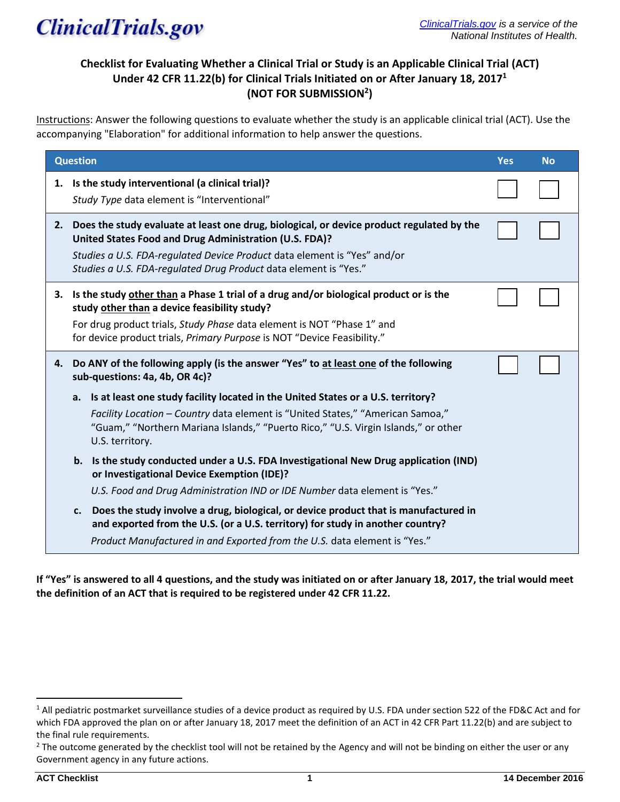

# **Checklist for Evaluating Whether a Clinical Trial or Study is an Applicable Clinical Trial (ACT) Under 42 CFR 11.22(b) for Clinical Trials Initiated on or After January 18, 2017<sup>1</sup> (NOT FOR SUBMISSION<sup>2</sup> )**

Instructions: Answer the following questions to evaluate whether the study is an applicable clinical trial (ACT). Use the accompanying "Elaboration" for additional information to help answer the questions.

| <b>Question</b> |                                                                                                                                                                                                                                                                                                     | <b>Yes</b> | <b>No</b> |
|-----------------|-----------------------------------------------------------------------------------------------------------------------------------------------------------------------------------------------------------------------------------------------------------------------------------------------------|------------|-----------|
|                 | 1. Is the study interventional (a clinical trial)?<br>Study Type data element is "Interventional"                                                                                                                                                                                                   |            |           |
| 2.              | Does the study evaluate at least one drug, biological, or device product regulated by the<br>United States Food and Drug Administration (U.S. FDA)?<br>Studies a U.S. FDA-regulated Device Product data element is "Yes" and/or<br>Studies a U.S. FDA-regulated Drug Product data element is "Yes." |            |           |
|                 | 3. Is the study other than a Phase 1 trial of a drug and/or biological product or is the<br>study other than a device feasibility study?<br>For drug product trials, Study Phase data element is NOT "Phase 1" and<br>for device product trials, Primary Purpose is NOT "Device Feasibility."       |            |           |
| 4.              | Do ANY of the following apply (is the answer "Yes" to at least one of the following<br>sub-questions: 4a, 4b, OR 4c)?                                                                                                                                                                               |            |           |
|                 | Is at least one study facility located in the United States or a U.S. territory?<br>a.<br>Facility Location - Country data element is "United States," "American Samoa,"<br>"Guam," "Northern Mariana Islands," "Puerto Rico," "U.S. Virgin Islands," or other<br>U.S. territory.                   |            |           |
|                 | b. Is the study conducted under a U.S. FDA Investigational New Drug application (IND)<br>or Investigational Device Exemption (IDE)?<br>U.S. Food and Drug Administration IND or IDE Number data element is "Yes."                                                                                   |            |           |
|                 | Does the study involve a drug, biological, or device product that is manufactured in<br>c.<br>and exported from the U.S. (or a U.S. territory) for study in another country?<br>Product Manufactured in and Exported from the U.S. data element is "Yes."                                           |            |           |

**If "Yes" is answered to all 4 questions, and the study was initiated on or after January 18, 2017, the trial would meet the definition of an ACT that is required to be registered under 42 CFR 11.22.** 

 $1$  All pediatric postmarket surveillance studies of a device product as required by U.S. FDA under section 522 of the FD&C Act and for which FDA approved the plan on or after January 18, 2017 meet the definition of an ACT in 42 CFR Part 11.22(b) and are subject to the final rule requirements.

<sup>&</sup>lt;sup>2</sup> The outcome generated by the checklist tool will not be retained by the Agency and will not be binding on either the user or any Government agency in any future actions.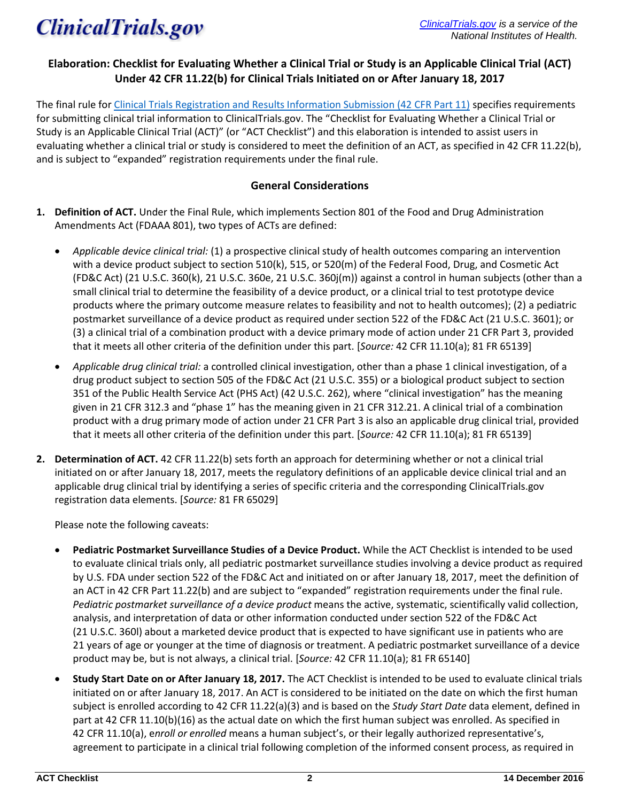

# **Elaboration: Checklist for Evaluating Whether a Clinical Trial or Study is an Applicable Clinical Trial (ACT) Under 42 CFR 11.22(b) for Clinical Trials Initiated on or After January 18, 2017**

The final rule fo[r Clinical Trials Registration and Results Information Submission \(42 CFR Part 11\)](https://www.federalregister.gov/documents/2016/09/21/2016-22129/clinical-trials-registration-and-results-information-submission) specifies requirements for submitting clinical trial information to ClinicalTrials.gov. The "Checklist for Evaluating Whether a Clinical Trial or Study is an Applicable Clinical Trial (ACT)" (or "ACT Checklist") and this elaboration is intended to assist users in evaluating whether a clinical trial or study is considered to meet the definition of an ACT, as specified in 42 CFR 11.22(b), and is subject to "expanded" registration requirements under the final rule.

## **General Considerations**

- **1. Definition of ACT.** Under the Final Rule, which implements Section 801 of the Food and Drug Administration Amendments Act (FDAAA 801), two types of ACTs are defined:
	- *Applicable device clinical trial:* (1) a prospective clinical study of health outcomes comparing an intervention with a device product subject to section 510(k), 515, or 520(m) of the Federal Food, Drug, and Cosmetic Act (FD&C Act) (21 U.S.C. 360(k), 21 U.S.C. 360e, 21 U.S.C. 360j(m)) against a control in human subjects (other than a small clinical trial to determine the feasibility of a device product, or a clinical trial to test prototype device products where the primary outcome measure relates to feasibility and not to health outcomes); (2) a pediatric postmarket surveillance of a device product as required under section 522 of the FD&C Act (21 U.S.C. 3601); or (3) a clinical trial of a combination product with a device primary mode of action under 21 CFR Part 3, provided that it meets all other criteria of the definition under this part. [*Source:* 42 CFR 11.10(a); 81 FR 65139]
	- *Applicable drug clinical trial:* a controlled clinical investigation, other than a phase 1 clinical investigation, of a drug product subject to section 505 of the FD&C Act (21 U.S.C. 355) or a biological product subject to section 351 of the Public Health Service Act (PHS Act) (42 U.S.C. 262), where "clinical investigation" has the meaning given in 21 CFR 312.3 and "phase 1" has the meaning given in 21 CFR 312.21. A clinical trial of a combination product with a drug primary mode of action under 21 CFR Part 3 is also an applicable drug clinical trial, provided that it meets all other criteria of the definition under this part. [*Source:* 42 CFR 11.10(a); 81 FR 65139]
- **2. Determination of ACT.** 42 CFR 11.22(b) sets forth an approach for determining whether or not a clinical trial initiated on or after January 18, 2017, meets the regulatory definitions of an applicable device clinical trial and an applicable drug clinical trial by identifying a series of specific criteria and the corresponding ClinicalTrials.gov registration data elements. [*Source:* 81 FR 65029]

Please note the following caveats:

- **Pediatric Postmarket Surveillance Studies of a Device Product.** While the ACT Checklist is intended to be used to evaluate clinical trials only, all pediatric postmarket surveillance studies involving a device product as required by U.S. FDA under section 522 of the FD&C Act and initiated on or after January 18, 2017, meet the definition of an ACT in 42 CFR Part 11.22(b) and are subject to "expanded" registration requirements under the final rule. *Pediatric postmarket surveillance of a device product* means the active, systematic, scientifically valid collection, analysis, and interpretation of data or other information conducted under section 522 of the FD&C Act (21 U.S.C. 360l) about a marketed device product that is expected to have significant use in patients who are 21 years of age or younger at the time of diagnosis or treatment. A pediatric postmarket surveillance of a device product may be, but is not always, a clinical trial. [*Source:* 42 CFR 11.10(a); 81 FR 65140]
- **Study Start Date on or After January 18, 2017.** The ACT Checklist is intended to be used to evaluate clinical trials initiated on or after January 18, 2017. An ACT is considered to be initiated on the date on which the first human subject is enrolled according to 42 CFR 11.22(a)(3) and is based on the *Study Start Date* data element, defined in part at 42 CFR 11.10(b)(16) as the actual date on which the first human subject was enrolled. As specified in 42 CFR 11.10(a), e*nroll or enrolled* means a human subject's, or their legally authorized representative's, agreement to participate in a clinical trial following completion of the informed consent process, as required in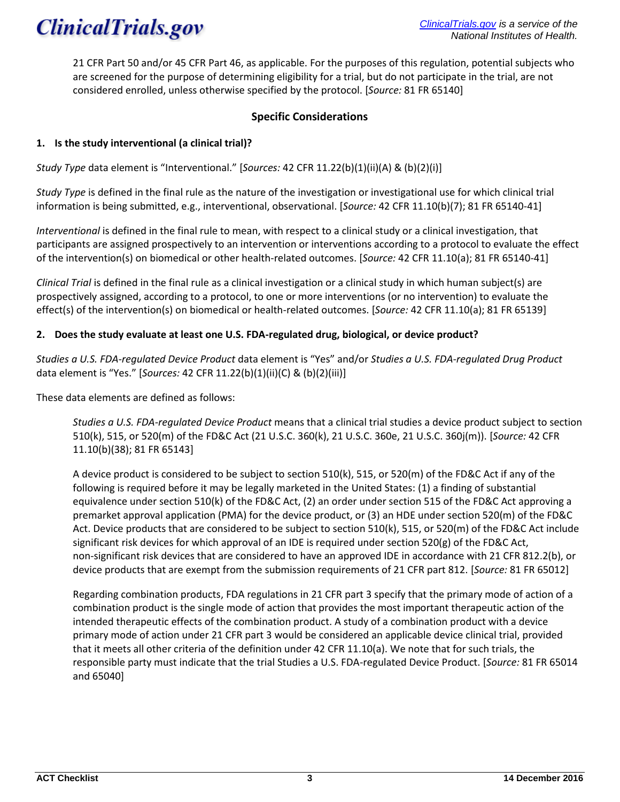

21 CFR Part 50 and/or 45 CFR Part 46, as applicable. For the purposes of this regulation, potential subjects who are screened for the purpose of determining eligibility for a trial, but do not participate in the trial, are not considered enrolled, unless otherwise specified by the protocol. [*Source:* 81 FR 65140]

# **Specific Considerations**

## **1. Is the study interventional (a clinical trial)?**

*Study Type* data element is "Interventional." [*Sources:* 42 CFR 11.22(b)(1)(ii)(A) & (b)(2)(i)]

*Study Type* is defined in the final rule as the nature of the investigation or investigational use for which clinical trial information is being submitted, e.g., interventional, observational. [*Source:* 42 CFR 11.10(b)(7); 81 FR 65140-41]

*Interventional* is defined in the final rule to mean, with respect to a clinical study or a clinical investigation, that participants are assigned prospectively to an intervention or interventions according to a protocol to evaluate the effect of the intervention(s) on biomedical or other health-related outcomes. [*Source:* 42 CFR 11.10(a); 81 FR 65140-41]

*Clinical Trial* is defined in the final rule as a clinical investigation or a clinical study in which human subject(s) are prospectively assigned, according to a protocol, to one or more interventions (or no intervention) to evaluate the effect(s) of the intervention(s) on biomedical or health-related outcomes. [*Source:* 42 CFR 11.10(a); 81 FR 65139]

#### **2. Does the study evaluate at least one U.S. FDA-regulated drug, biological, or device product?**

*Studies a U.S. FDA-regulated Device Product* data element is "Yes" and/or *Studies a U.S. FDA-regulated Drug Product* data element is "Yes." [*Sources:* 42 CFR 11.22(b)(1)(ii)(C) & (b)(2)(iii)]

These data elements are defined as follows:

*Studies a U.S. FDA-regulated Device Product* means that a clinical trial studies a device product subject to section 510(k), 515, or 520(m) of the FD&C Act (21 U.S.C. 360(k), 21 U.S.C. 360e, 21 U.S.C. 360j(m)). [*Source:* 42 CFR 11.10(b)(38); 81 FR 65143]

A device product is considered to be subject to section 510(k), 515, or 520(m) of the FD&C Act if any of the following is required before it may be legally marketed in the United States: (1) a finding of substantial equivalence under section 510(k) of the FD&C Act, (2) an order under section 515 of the FD&C Act approving a premarket approval application (PMA) for the device product, or (3) an HDE under section 520(m) of the FD&C Act. Device products that are considered to be subject to section 510(k), 515, or 520(m) of the FD&C Act include significant risk devices for which approval of an IDE is required under section 520(g) of the FD&C Act, non-significant risk devices that are considered to have an approved IDE in accordance with 21 CFR 812.2(b), or device products that are exempt from the submission requirements of 21 CFR part 812. [*Source:* 81 FR 65012]

Regarding combination products, FDA regulations in 21 CFR part 3 specify that the primary mode of action of a combination product is the single mode of action that provides the most important therapeutic action of the intended therapeutic effects of the combination product. A study of a combination product with a device primary mode of action under 21 CFR part 3 would be considered an applicable device clinical trial, provided that it meets all other criteria of the definition under 42 CFR 11.10(a). We note that for such trials, the responsible party must indicate that the trial Studies a U.S. FDA-regulated Device Product. [*Source:* 81 FR 65014 and 65040]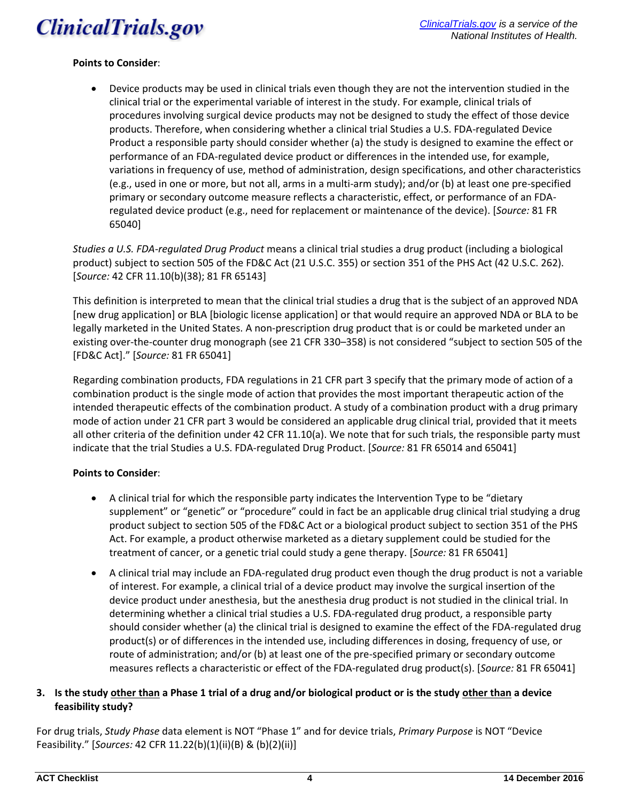

#### **Points to Consider**:

 Device products may be used in clinical trials even though they are not the intervention studied in the clinical trial or the experimental variable of interest in the study. For example, clinical trials of procedures involving surgical device products may not be designed to study the effect of those device products. Therefore, when considering whether a clinical trial Studies a U.S. FDA-regulated Device Product a responsible party should consider whether (a) the study is designed to examine the effect or performance of an FDA-regulated device product or differences in the intended use, for example, variations in frequency of use, method of administration, design specifications, and other characteristics (e.g., used in one or more, but not all, arms in a multi-arm study); and/or (b) at least one pre-specified primary or secondary outcome measure reflects a characteristic, effect, or performance of an FDAregulated device product (e.g., need for replacement or maintenance of the device). [*Source:* 81 FR 65040]

*Studies a U.S. FDA-regulated Drug Product* means a clinical trial studies a drug product (including a biological product) subject to section 505 of the FD&C Act (21 U.S.C. 355) or section 351 of the PHS Act (42 U.S.C. 262). [*Source:* 42 CFR 11.10(b)(38); 81 FR 65143]

This definition is interpreted to mean that the clinical trial studies a drug that is the subject of an approved NDA [new drug application] or BLA [biologic license application] or that would require an approved NDA or BLA to be legally marketed in the United States. A non-prescription drug product that is or could be marketed under an existing over-the-counter drug monograph (see 21 CFR 330–358) is not considered "subject to section 505 of the [FD&C Act]." [*Source:* 81 FR 65041]

Regarding combination products, FDA regulations in 21 CFR part 3 specify that the primary mode of action of a combination product is the single mode of action that provides the most important therapeutic action of the intended therapeutic effects of the combination product. A study of a combination product with a drug primary mode of action under 21 CFR part 3 would be considered an applicable drug clinical trial, provided that it meets all other criteria of the definition under 42 CFR 11.10(a). We note that for such trials, the responsible party must indicate that the trial Studies a U.S. FDA-regulated Drug Product. [*Source:* 81 FR 65014 and 65041]

#### **Points to Consider**:

- A clinical trial for which the responsible party indicates the Intervention Type to be "dietary supplement" or "genetic" or "procedure" could in fact be an applicable drug clinical trial studying a drug product subject to section 505 of the FD&C Act or a biological product subject to section 351 of the PHS Act. For example, a product otherwise marketed as a dietary supplement could be studied for the treatment of cancer, or a genetic trial could study a gene therapy. [*Source:* 81 FR 65041]
- A clinical trial may include an FDA-regulated drug product even though the drug product is not a variable of interest. For example, a clinical trial of a device product may involve the surgical insertion of the device product under anesthesia, but the anesthesia drug product is not studied in the clinical trial. In determining whether a clinical trial studies a U.S. FDA-regulated drug product, a responsible party should consider whether (a) the clinical trial is designed to examine the effect of the FDA-regulated drug product(s) or of differences in the intended use, including differences in dosing, frequency of use, or route of administration; and/or (b) at least one of the pre-specified primary or secondary outcome measures reflects a characteristic or effect of the FDA-regulated drug product(s). [*Source:* 81 FR 65041]

# **3. Is the study other than a Phase 1 trial of a drug and/or biological product or is the study other than a device feasibility study?**

For drug trials, *Study Phase* data element is NOT "Phase 1" and for device trials, *Primary Purpose* is NOT "Device Feasibility." [*Sources:* 42 CFR 11.22(b)(1)(ii)(B) & (b)(2)(ii)]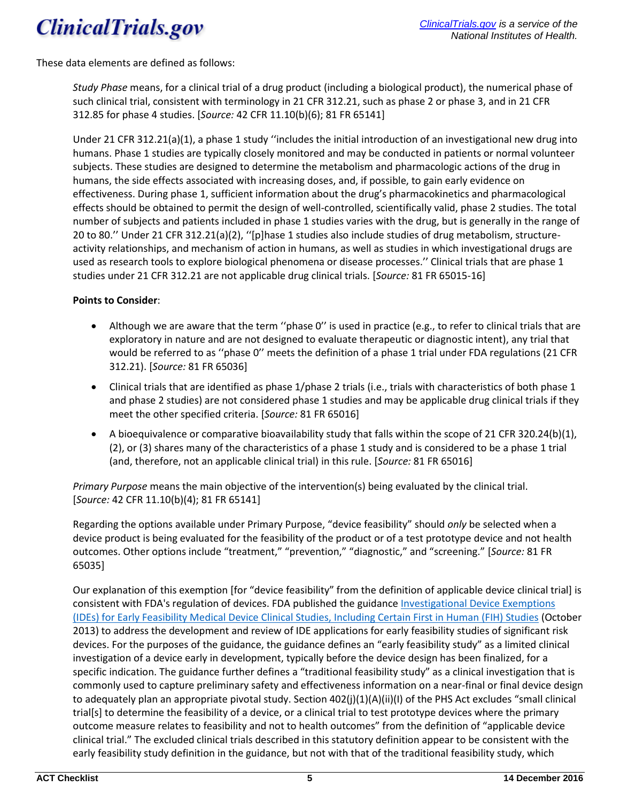

These data elements are defined as follows:

*Study Phase* means, for a clinical trial of a drug product (including a biological product), the numerical phase of such clinical trial, consistent with terminology in 21 CFR 312.21, such as phase 2 or phase 3, and in 21 CFR 312.85 for phase 4 studies. [*Source:* 42 CFR 11.10(b)(6); 81 FR 65141]

Under 21 CFR 312.21(a)(1), a phase 1 study ''includes the initial introduction of an investigational new drug into humans. Phase 1 studies are typically closely monitored and may be conducted in patients or normal volunteer subjects. These studies are designed to determine the metabolism and pharmacologic actions of the drug in humans, the side effects associated with increasing doses, and, if possible, to gain early evidence on effectiveness. During phase 1, sufficient information about the drug's pharmacokinetics and pharmacological effects should be obtained to permit the design of well-controlled, scientifically valid, phase 2 studies. The total number of subjects and patients included in phase 1 studies varies with the drug, but is generally in the range of 20 to 80.'' Under 21 CFR 312.21(a)(2), ''[p]hase 1 studies also include studies of drug metabolism, structureactivity relationships, and mechanism of action in humans, as well as studies in which investigational drugs are used as research tools to explore biological phenomena or disease processes.'' Clinical trials that are phase 1 studies under 21 CFR 312.21 are not applicable drug clinical trials. [*Source:* 81 FR 65015-16]

#### **Points to Consider**:

- Although we are aware that the term ''phase 0'' is used in practice (e.g., to refer to clinical trials that are exploratory in nature and are not designed to evaluate therapeutic or diagnostic intent), any trial that would be referred to as ''phase 0'' meets the definition of a phase 1 trial under FDA regulations (21 CFR 312.21). [*Source:* 81 FR 65036]
- Clinical trials that are identified as phase 1/phase 2 trials (i.e., trials with characteristics of both phase 1 and phase 2 studies) are not considered phase 1 studies and may be applicable drug clinical trials if they meet the other specified criteria. [*Source:* 81 FR 65016]
- A bioequivalence or comparative bioavailability study that falls within the scope of 21 CFR 320.24(b)(1), (2), or (3) shares many of the characteristics of a phase 1 study and is considered to be a phase 1 trial (and, therefore, not an applicable clinical trial) in this rule. [*Source:* 81 FR 65016]

*Primary Purpose* means the main objective of the intervention(s) being evaluated by the clinical trial. [*Source:* 42 CFR 11.10(b)(4); 81 FR 65141]

Regarding the options available under Primary Purpose, "device feasibility" should *only* be selected when a device product is being evaluated for the feasibility of the product or of a test prototype device and not health outcomes. Other options include "treatment," "prevention," "diagnostic," and "screening." [*Source:* 81 FR 65035]

Our explanation of this exemption [for "device feasibility" from the definition of applicable device clinical trial] is consistent with FDA's regulation of devices. FDA published the guidance [Investigational Device Exemptions](http://www.fda.gov/downloads/medicaldevices/deviceregulationandguidance/guidancedocuments/ucm279103)  [\(IDEs\) for Early Feasibility Medical Device Clinical Studies, Including Certain First in Human \(FIH\) Studies](http://www.fda.gov/downloads/medicaldevices/deviceregulationandguidance/guidancedocuments/ucm279103) (October 2013) to address the development and review of IDE applications for early feasibility studies of significant risk devices. For the purposes of the guidance, the guidance defines an "early feasibility study" as a limited clinical investigation of a device early in development, typically before the device design has been finalized, for a specific indication. The guidance further defines a "traditional feasibility study" as a clinical investigation that is commonly used to capture preliminary safety and effectiveness information on a near-final or final device design to adequately plan an appropriate pivotal study. Section 402(j)(1)(A)(ii)(I) of the PHS Act excludes "small clinical trial[s] to determine the feasibility of a device, or a clinical trial to test prototype devices where the primary outcome measure relates to feasibility and not to health outcomes" from the definition of "applicable device clinical trial." The excluded clinical trials described in this statutory definition appear to be consistent with the early feasibility study definition in the guidance, but not with that of the traditional feasibility study, which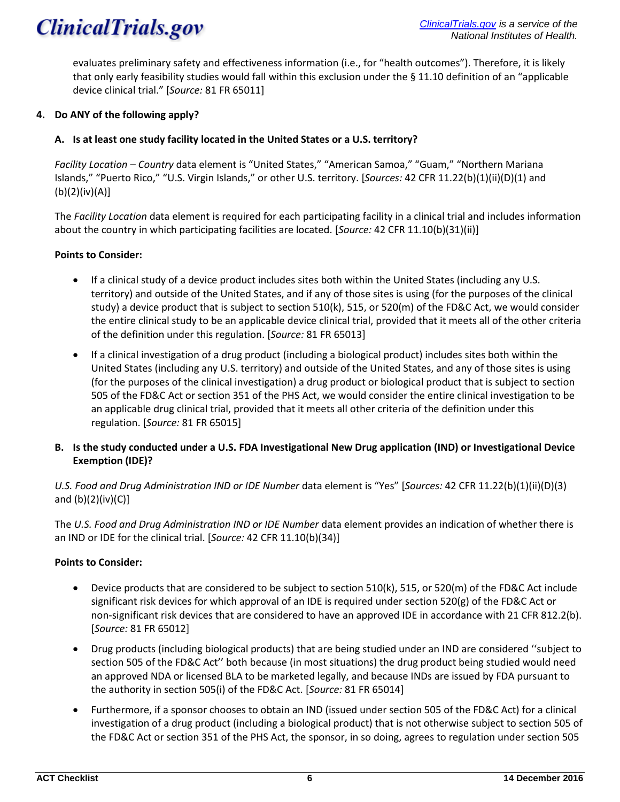# **ClinicalTrials.gov**

evaluates preliminary safety and effectiveness information (i.e., for "health outcomes"). Therefore, it is likely that only early feasibility studies would fall within this exclusion under the § 11.10 definition of an "applicable device clinical trial." [*Source:* 81 FR 65011]

# **4. Do ANY of the following apply?**

# **A. Is at least one study facility located in the United States or a U.S. territory?**

*Facility Location – Country* data element is "United States," "American Samoa," "Guam," "Northern Mariana Islands," "Puerto Rico," "U.S. Virgin Islands," or other U.S. territory. [*Sources:* 42 CFR 11.22(b)(1)(ii)(D)(1) and (b)(2)(iv)(A)]

The *Facility Location* data element is required for each participating facility in a clinical trial and includes information about the country in which participating facilities are located. [*Source:* 42 CFR 11.10(b)(31)(ii)]

# **Points to Consider:**

- If a clinical study of a device product includes sites both within the United States (including any U.S. territory) and outside of the United States, and if any of those sites is using (for the purposes of the clinical study) a device product that is subject to section 510(k), 515, or 520(m) of the FD&C Act, we would consider the entire clinical study to be an applicable device clinical trial, provided that it meets all of the other criteria of the definition under this regulation. [*Source:* 81 FR 65013]
- If a clinical investigation of a drug product (including a biological product) includes sites both within the United States (including any U.S. territory) and outside of the United States, and any of those sites is using (for the purposes of the clinical investigation) a drug product or biological product that is subject to section 505 of the FD&C Act or section 351 of the PHS Act, we would consider the entire clinical investigation to be an applicable drug clinical trial, provided that it meets all other criteria of the definition under this regulation. [*Source:* 81 FR 65015]

# **B. Is the study conducted under a U.S. FDA Investigational New Drug application (IND) or Investigational Device Exemption (IDE)?**

*U.S. Food and Drug Administration IND or IDE Number* data element is "Yes" [*Sources:* 42 CFR 11.22(b)(1)(ii)(D)(3) and  $(b)(2)(iv)(C)$ ]

The *U.S. Food and Drug Administration IND or IDE Number* data element provides an indication of whether there is an IND or IDE for the clinical trial. [*Source:* 42 CFR 11.10(b)(34)]

# **Points to Consider:**

- Device products that are considered to be subject to section 510(k), 515, or 520(m) of the FD&C Act include significant risk devices for which approval of an IDE is required under section 520(g) of the FD&C Act or non-significant risk devices that are considered to have an approved IDE in accordance with 21 CFR 812.2(b). [*Source:* 81 FR 65012]
- Drug products (including biological products) that are being studied under an IND are considered ''subject to section 505 of the FD&C Act'' both because (in most situations) the drug product being studied would need an approved NDA or licensed BLA to be marketed legally, and because INDs are issued by FDA pursuant to the authority in section 505(i) of the FD&C Act. [*Source:* 81 FR 65014]
- Furthermore, if a sponsor chooses to obtain an IND (issued under section 505 of the FD&C Act) for a clinical investigation of a drug product (including a biological product) that is not otherwise subject to section 505 of the FD&C Act or section 351 of the PHS Act, the sponsor, in so doing, agrees to regulation under section 505